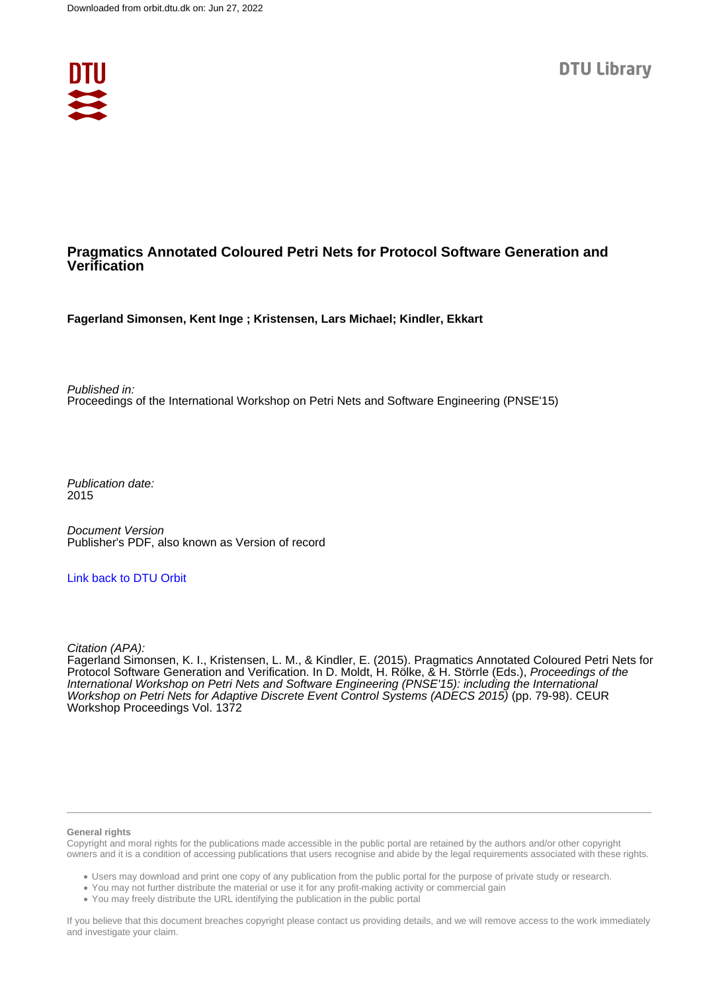

# **Pragmatics Annotated Coloured Petri Nets for Protocol Software Generation and Verification**

**Fagerland Simonsen, Kent Inge ; Kristensen, Lars Michael; Kindler, Ekkart**

Published in: Proceedings of the International Workshop on Petri Nets and Software Engineering (PNSE'15)

Publication date: 2015

Document Version Publisher's PDF, also known as Version of record

[Link back to DTU Orbit](https://orbit.dtu.dk/en/publications/2d6a0474-48b1-46b8-baaf-d81a526c2420)

Citation (APA):

Fagerland Simonsen, K. I., Kristensen, L. M., & Kindler, E. (2015). Pragmatics Annotated Coloured Petri Nets for Protocol Software Generation and Verification. In D. Moldt, H. Rölke, & H. Störrle (Eds.), Proceedings of the International Workshop on Petri Nets and Software Engineering (PNSE'15): including the International Workshop on Petri Nets for Adaptive Discrete Event Control Systems (ADECS 2015) (pp. 79-98). CEUR Workshop Proceedings Vol. 1372

#### **General rights**

Copyright and moral rights for the publications made accessible in the public portal are retained by the authors and/or other copyright owners and it is a condition of accessing publications that users recognise and abide by the legal requirements associated with these rights.

Users may download and print one copy of any publication from the public portal for the purpose of private study or research.

- You may not further distribute the material or use it for any profit-making activity or commercial gain
- You may freely distribute the URL identifying the publication in the public portal

If you believe that this document breaches copyright please contact us providing details, and we will remove access to the work immediately and investigate your claim.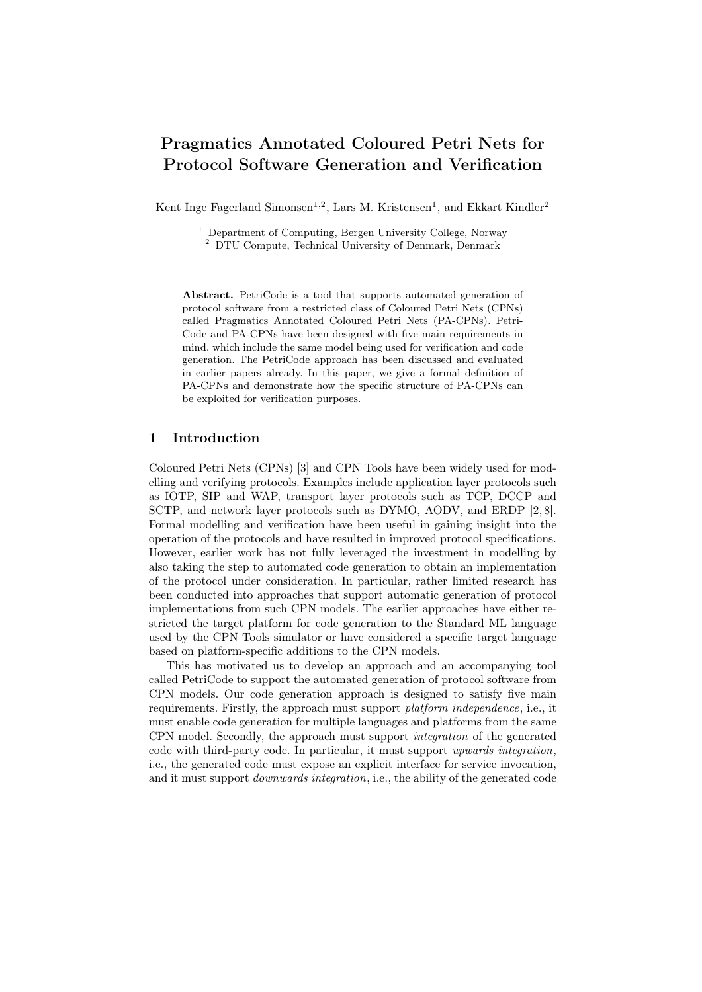# Pragmatics Annotated Coloured Petri Nets for **Protocol Software Generation and Verification**

Kent Inge Fagerland Simonsen<sup>1,2</sup>, Lars M. Kristensen<sup>1</sup>, and Ekkart Kindler<sup>2</sup>

<sup>1</sup> Department of Computing, Bergen University College, Norway

<sup>2</sup> DTU Compute, Technical University of Denmark, Denmark

Abstract. PetriCode is a tool that supports automated generation of protocol software from a restricted class of Coloured Petri Nets (CPNs) called Pragmatics Annotated Coloured Petri Nets (PA-CPNs). Petri-Code and PA-CPNs have been designed with five main requirements in mind, which include the same model being used for verification and code generation. The PetriCode approach has been discussed and evaluated in earlier papers already. In this paper, we give a formal definition of PA-CPNs and demonstrate how the specific structure of PA-CPNs can be exploited for verification purposes.

#### $\mathbf{1}$ Introduction

Coloured Petri Nets (CPNs) [3] and CPN Tools have been widely used for modelling and verifying protocols. Examples include application layer protocols such as IOTP, SIP and WAP, transport layer protocols such as TCP, DCCP and SCTP, and network layer protocols such as DYMO, AODV, and ERDP [2,8]. Formal modelling and verification have been useful in gaining insight into the operation of the protocols and have resulted in improved protocol specifications. However, earlier work has not fully leveraged the investment in modelling by also taking the step to automated code generation to obtain an implementation of the protocol under consideration. In particular, rather limited research has been conducted into approaches that support automatic generation of protocol implementations from such CPN models. The earlier approaches have either restricted the target platform for code generation to the Standard ML language used by the CPN Tools simulator or have considered a specific target language based on platform-specific additions to the CPN models.

This has motivated us to develop an approach and an accompanying tool called PetriCode to support the automated generation of protocol software from CPN models. Our code generation approach is designed to satisfy five main requirements. Firstly, the approach must support *platform independence*, i.e., it must enable code generation for multiple languages and platforms from the same CPN model. Secondly, the approach must support *integration* of the generated code with third-party code. In particular, it must support *upwards integration*, i.e., the generated code must expose an explicit interface for service invocation, and it must support *downwards integration*, i.e., the ability of the generated code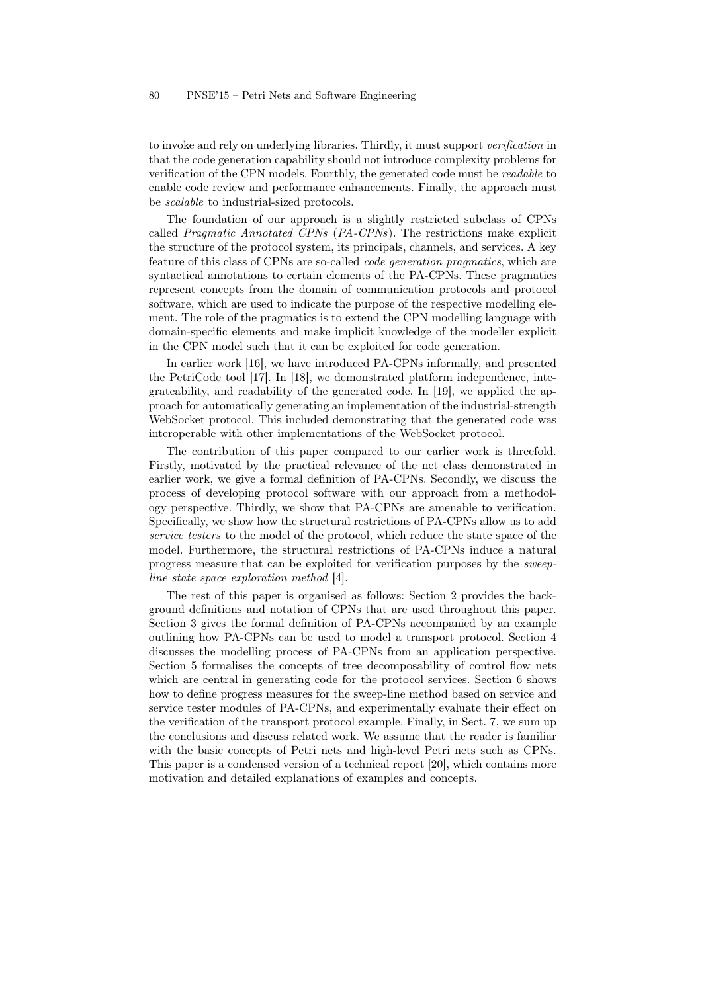to invoke and rely on underlying libraries. Thirdly, it must support *verification* in that the code generation capability should not introduce complexity problems for verification of the CPN models. Fourthly, the generated code must be readable to enable code review and performance enhancements. Finally, the approach must be scalable to industrial-sized protocols.

The foundation of our approach is a slightly restricted subclass of CPNs called Pragmatic Annotated CPNs (PA-CPNs). The restrictions make explicit the structure of the protocol system, its principals, channels, and services. A key feature of this class of CPNs are so-called code generation pragmatics, which are syntactical annotations to certain elements of the PA-CPNs. These pragmatics represent concepts from the domain of communication protocols and protocol software, which are used to indicate the purpose of the respective modelling element. The role of the pragmatics is to extend the CPN modelling language with domain-specific elements and make implicit knowledge of the modeller explicit in the CPN model such that it can be exploited for code generation.

In earlier work [16], we have introduced PA-CPNs informally, and presented the PetriCode tool [17]. In [18], we demonstrated platform independence, integrateability, and readability of the generated code. In [19], we applied the approach for automatically generating an implementation of the industrial-strength WebSocket protocol. This included demonstrating that the generated code was interoperable with other implementations of the WebSocket protocol.

The contribution of this paper compared to our earlier work is threefold. Firstly, motivated by the practical relevance of the net class demonstrated in earlier work, we give a formal definition of PA-CPNs. Secondly, we discuss the process of developing protocol software with our approach from a methodology perspective. Thirdly, we show that PA-CPNs are amenable to verification. Specifically, we show how the structural restrictions of PA-CPNs allow us to add service testers to the model of the protocol, which reduce the state space of the model. Furthermore, the structural restrictions of PA-CPNs induce a natural progress measure that can be exploited for verification purposes by the sweepline state space exploration method [4].

The rest of this paper is organised as follows: Section 2 provides the background definitions and notation of CPNs that are used throughout this paper. Section 3 gives the formal definition of PA-CPNs accompanied by an example outlining how PA-CPNs can be used to model a transport protocol. Section 4 discusses the modelling process of PA-CPNs from an application perspective. Section 5 formalises the concepts of tree decomposability of control flow nets which are central in generating code for the protocol services. Section 6 shows how to define progress measures for the sweep-line method based on service and service tester modules of PA-CPNs, and experimentally evaluate their effect on the verification of the transport protocol example. Finally, in Sect. 7, we sum up the conclusions and discuss related work. We assume that the reader is familiar with the basic concepts of Petri nets and high-level Petri nets such as CPNs. This paper is a condensed version of a technical report [20], which contains more motivation and detailed explanations of examples and concepts.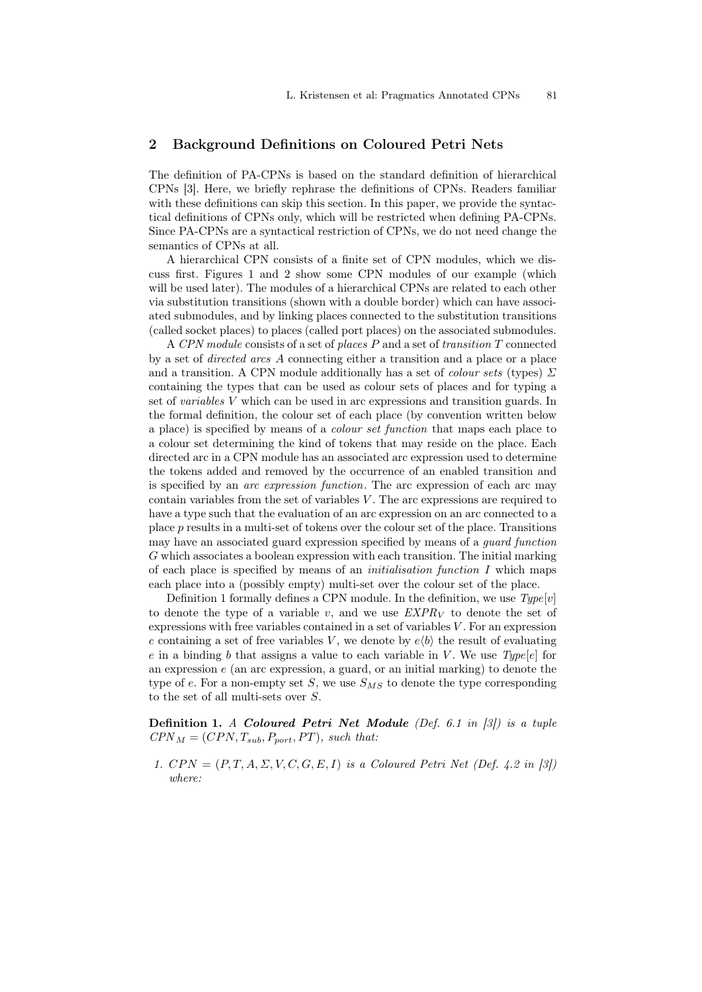# 2 Background Definitions on Coloured Petri Nets

The definition of PA-CPNs is based on the standard definition of hierarchical CPNs [3]. Here, we briefly rephrase the definitions of CPNs. Readers familiar with these definitions can skip this section. In this paper, we provide the syntactical definitions of CPNs only, which will be restricted when defining PA-CPNs. Since PA-CPNs are a syntactical restriction of CPNs, we do not need change the semantics of CPNs at all.

A hierarchical CPN consists of a finite set of CPN modules, which we discuss first. Figures 1 and 2 show some CPN modules of our example (which will be used later). The modules of a hierarchical CPNs are related to each other via substitution transitions (shown with a double border) which can have associated submodules, and by linking places connected to the substitution transitions (called socket places) to places (called port places) on the associated submodules.

A CPN module consists of a set of places P and a set of transition T connected by a set of directed arcs A connecting either a transition and a place or a place and a transition. A CPN module additionally has a set of *colour sets* (types)  $\Sigma$ containing the types that can be used as colour sets of places and for typing a set of variables V which can be used in arc expressions and transition guards. In the formal definition, the colour set of each place (by convention written below a place) is specified by means of a colour set function that maps each place to a colour set determining the kind of tokens that may reside on the place. Each directed arc in a CPN module has an associated arc expression used to determine the tokens added and removed by the occurrence of an enabled transition and is specified by an arc expression function. The arc expression of each arc may contain variables from the set of variables  $V$ . The arc expressions are required to have a type such that the evaluation of an arc expression on an arc connected to a place p results in a multi-set of tokens over the colour set of the place. Transitions may have an associated guard expression specified by means of a guard function G which associates a boolean expression with each transition. The initial marking of each place is specified by means of an initialisation function I which maps each place into a (possibly empty) multi-set over the colour set of the place.

Definition 1 formally defines a CPN module. In the definition, we use  $Type[v]$ to denote the type of a variable v, and we use  $EXPR<sub>V</sub>$  to denote the set of expressions with free variables contained in a set of variables  $V$ . For an expression e containing a set of free variables V, we denote by  $e\langle b \rangle$  the result of evaluating e in a binding b that assigns a value to each variable in V. We use  $Type[e]$  for an expression  $e$  (an arc expression, a guard, or an initial marking) to denote the type of e. For a non-empty set S, we use  $S_{MS}$  to denote the type corresponding to the set of all multi-sets over S.

Definition 1. A Coloured Petri Net Module (Def. 6.1 in [3]) is a tuple  $CPN_M = (CPN, T_{sub}, P_{port}, PT)$ , such that:

1.  $CPN = (P, T, A, \Sigma, V, C, G, E, I)$  is a Coloured Petri Net (Def. 4.2 in [3]) where: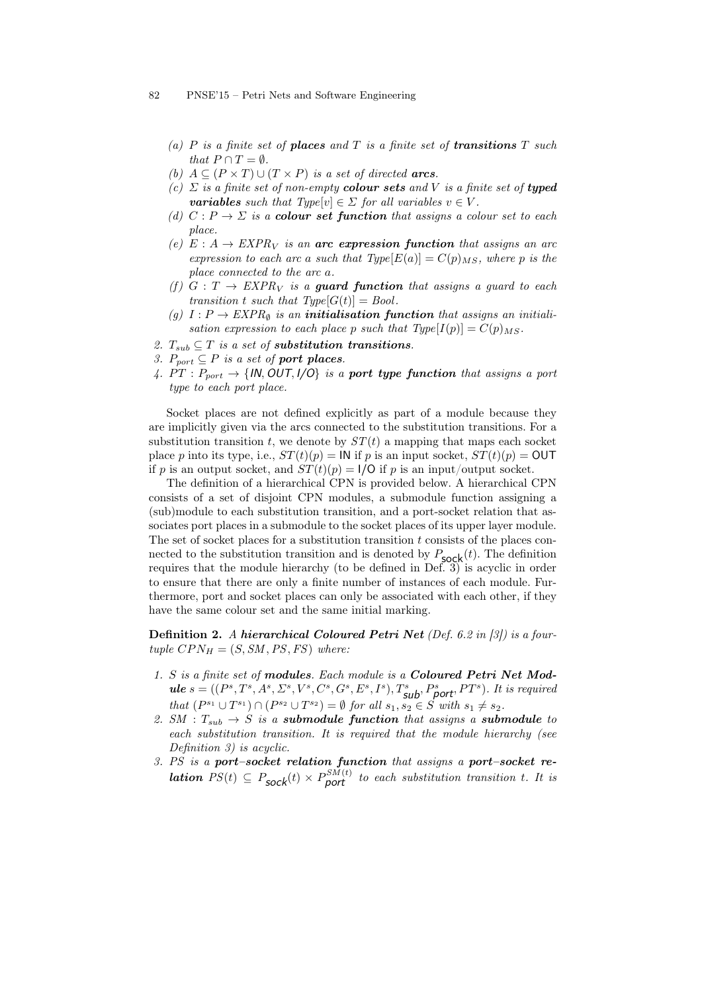#### 82 PNSE'15 – Petri Nets and Software Engineering

- (a)  $P$  is a finite set of **places** and  $T$  is a finite set of **transitions**  $T$  such that  $P \cap T = \emptyset$ .
- (b)  $A \subseteq (P \times T) \cup (T \times P)$  is a set of directed **arcs**.
- (c)  $\Sigma$  is a finite set of non-empty colour sets and V is a finite set of typed **variables** such that  $Type[v] \in \Sigma$  for all variables  $v \in V$ .
- (d)  $C : P \to \Sigma$  is a **colour set function** that assigns a colour set to each place.
- (e)  $E: A \rightarrow EXPR_V$  is an **arc expression function** that assigns an arc expression to each arc a such that  $Type[E(a)] = C(p)_{MS}$ , where p is the place connected to the arc a.
- (f)  $G: T \to EXPR_V$  is a **guard function** that assigns a guard to each transition t such that  $Type[G(t)] = Bool.$
- (g)  $I: P \to EXPR_{\emptyset}$  is an **initialisation function** that assigns an initialisation expression to each place p such that  $Type[I(p)] = C(p)_{MS}$ .
- 2.  $T_{sub} \subseteq T$  is a set of **substitution transitions**.
- 3.  $P_{port} \subseteq P$  is a set of **port places**.
- 4. PT :  $P_{port} \rightarrow \{IN, OUT, I/O\}$  is a **port type function** that assigns a port type to each port place.

Socket places are not defined explicitly as part of a module because they are implicitly given via the arcs connected to the substitution transitions. For a substitution transition t, we denote by  $ST(t)$  a mapping that maps each socket place p into its type, i.e.,  $ST(t)(p) = \mathsf{IN}$  if p is an input socket,  $ST(t)(p) = \mathsf{OUT}$ if p is an output socket, and  $ST(t)(p) = 1/O$  if p is an input/output socket.

The definition of a hierarchical CPN is provided below. A hierarchical CPN consists of a set of disjoint CPN modules, a submodule function assigning a (sub)module to each substitution transition, and a port-socket relation that associates port places in a submodule to the socket places of its upper layer module. The set of socket places for a substitution transition  $t$  consists of the places connected to the substitution transition and is denoted by  $P_{\text{sock}}(t)$ . The definition requires that the module hierarchy (to be defined in Def. 3) is acyclic in order to ensure that there are only a finite number of instances of each module. Furthermore, port and socket places can only be associated with each other, if they have the same colour set and the same initial marking.

Definition 2. A hierarchical Coloured Petri Net (Def. 6.2 in [3]) is a fourtuple  $CPN_H = (S, SM, PS, FS)$  where:

- 1. S is a finite set of modules. Each module is a Coloured Petri Net Mod $ule s = ((P<sup>s</sup>, T<sup>s</sup>, A<sup>s</sup>, S<sup>s</sup>, V<sup>s</sup>, C<sup>s</sup>, G<sup>s</sup>, E<sup>s</sup>, I<sup>s</sup>), T<sup>s</sup><sub>sub</sub>, Py<sup>s</sup> (P<sup>s</sup>)<sub>1</sub>, P<sup>s</sup>) . It is required$ *that*  $(P^{s_1} \cup T^{s_1}) \cap (P^{s_2} \cup T^{s_2}) = ∅$  *for all*  $s_1, s_2 \in S$  *with*  $s_1 \neq s_2$ *.*
- 2. SM :  $T_{sub} \rightarrow S$  is a submodule function that assigns a submodule to each substitution transition. It is required that the module hierarchy (see Definition 3) is acyclic.
- 3. PS is a port–socket relation function that assigns a port–socket re**lation**  $PS(t) \subseteq P_{\text{sock}}(t) \times P_{\text{port}}^{SM(t)}$  to each substitution transition t. It is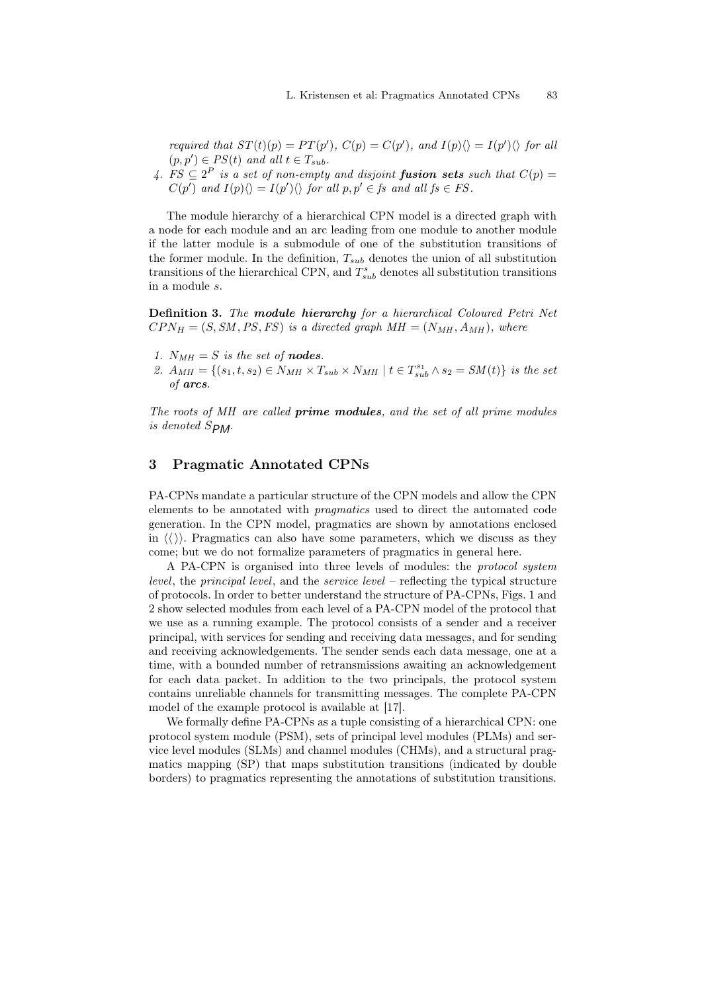required that  $ST(t)(p) = PT(p'), C(p) = C(p'),$  and  $I(p)\langle\rangle = I(p')\langle\rangle$  for all  $(p, p') \in PS(t)$  and all  $t \in T_{sub}$ .

4.  $FS \subseteq 2^P$  is a set of non-empty and disjoint **fusion sets** such that  $C(p) =$  $C(p')$  and  $I(p)\langle\rangle = I(p')\langle\rangle$  for all  $p, p' \in fs$  and all  $fs \in FS$ .

The module hierarchy of a hierarchical CPN model is a directed graph with a node for each module and an arc leading from one module to another module if the latter module is a submodule of one of the substitution transitions of the former module. In the definition,  $T_{sub}$  denotes the union of all substitution transitions of the hierarchical CPN, and  $T_{sub}^s$  denotes all substitution transitions in a module s.

Definition 3. The module hierarchy for a hierarchical Coloured Petri Net  $CPN_H = (S, SM, PS, FS)$  is a directed graph  $MH = (N_{MH}, A_{MH})$ , where

- 1.  $N_{MH} = S$  is the set of **nodes**.
- 2.  $A_{MH} = \{(s_1, t, s_2) \in N_{MH} \times T_{sub} \times N_{MH} \mid t \in T_{sub}^{s_1} \wedge s_2 = SM(t)\}\$ is the set of arcs.

The roots of MH are called **prime modules**, and the set of all prime modules is denoted  $S_{\text{P}M}$ .

# 3 Pragmatic Annotated CPNs

PA-CPNs mandate a particular structure of the CPN models and allow the CPN elements to be annotated with pragmatics used to direct the automated code generation. In the CPN model, pragmatics are shown by annotations enclosed in  $\langle \langle \rangle$ . Pragmatics can also have some parameters, which we discuss as they come; but we do not formalize parameters of pragmatics in general here.

A PA-CPN is organised into three levels of modules: the protocol system level, the principal level, and the service level – reflecting the typical structure of protocols. In order to better understand the structure of PA-CPNs, Figs. 1 and 2 show selected modules from each level of a PA-CPN model of the protocol that we use as a running example. The protocol consists of a sender and a receiver principal, with services for sending and receiving data messages, and for sending and receiving acknowledgements. The sender sends each data message, one at a time, with a bounded number of retransmissions awaiting an acknowledgement for each data packet. In addition to the two principals, the protocol system contains unreliable channels for transmitting messages. The complete PA-CPN model of the example protocol is available at [17].

We formally define PA-CPNs as a tuple consisting of a hierarchical CPN: one protocol system module (PSM), sets of principal level modules (PLMs) and service level modules (SLMs) and channel modules (CHMs), and a structural pragmatics mapping (SP) that maps substitution transitions (indicated by double borders) to pragmatics representing the annotations of substitution transitions.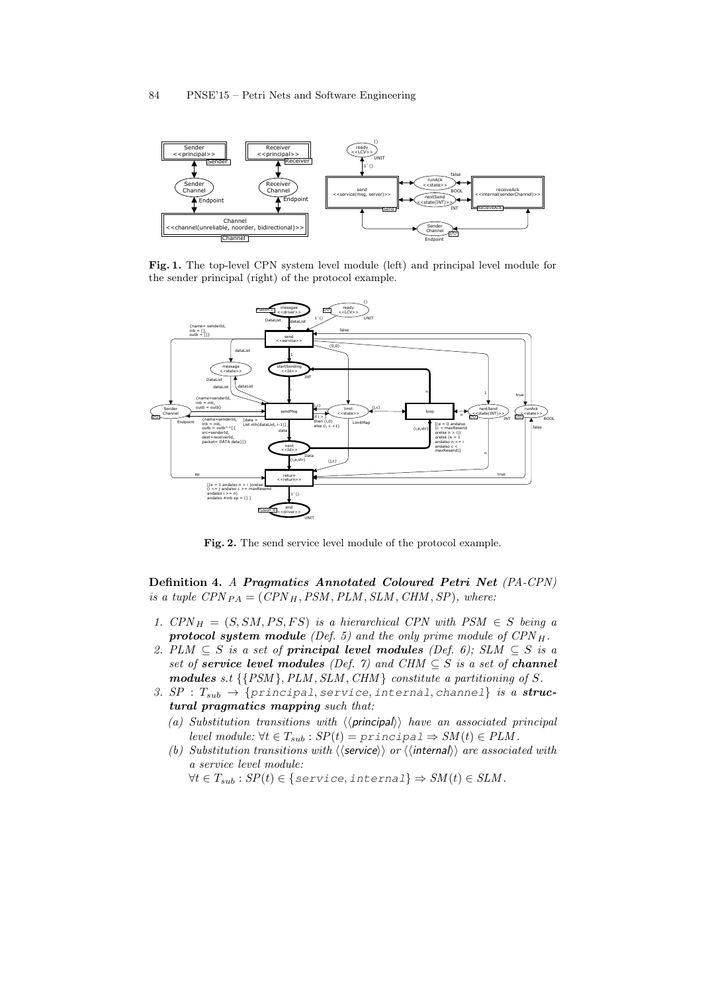

Fig. 1. The top-level CPN system level module (left) and principal level module for the sender principal (right) of the protocol example.



Fig. 2. The send service level module of the protocol example.

Definition 4. A Pragmatics Annotated Coloured Petri Net (PA-CPN) is a tuple  $CPN_{PA} = (CPN_H,PSM,PLM, SIM, CHM, SP)$ , where:

- 1.  $CPN_H = (S, SM, PS, FS)$  is a hierarchical CPN with PSM  $\in S$  being a protocol system module (Def. 5) and the only prime module of  $CPN_H$ .
- 2. PLM  $\subseteq S$  is a set of **principal level modules** (Def. 6); SLM  $\subseteq S$  is a set of **service level modules** (Def. 7) and CHM  $\subseteq$  S is a set of **channel** modules s.t  $\{ \{PSM\}$ ,  $PLM$ ,  $SLM$ ,  $CHM$ } constitute a partitioning of S.
- 3. SP :  $T_{sub}$   $\rightarrow$  {principal, service, internal, channel} is a structural pragmatics mapping such that:
	- (a) Substitution transitions with  $\langle \langle \text{principal} \rangle \rangle$  have an associated principal level module:  $\forall t \in T_{sub} : SP(t) = principal \Rightarrow SM(t) \in PLM$ .
	- (b) Substitution transitions with  $\langle$  (service) or  $\langle$  (internal) are associated with a service level module:

 $\forall t \in T_{sub} : SP(t) \in \{ service, internal\} \Rightarrow SM(t) \in SLM$ .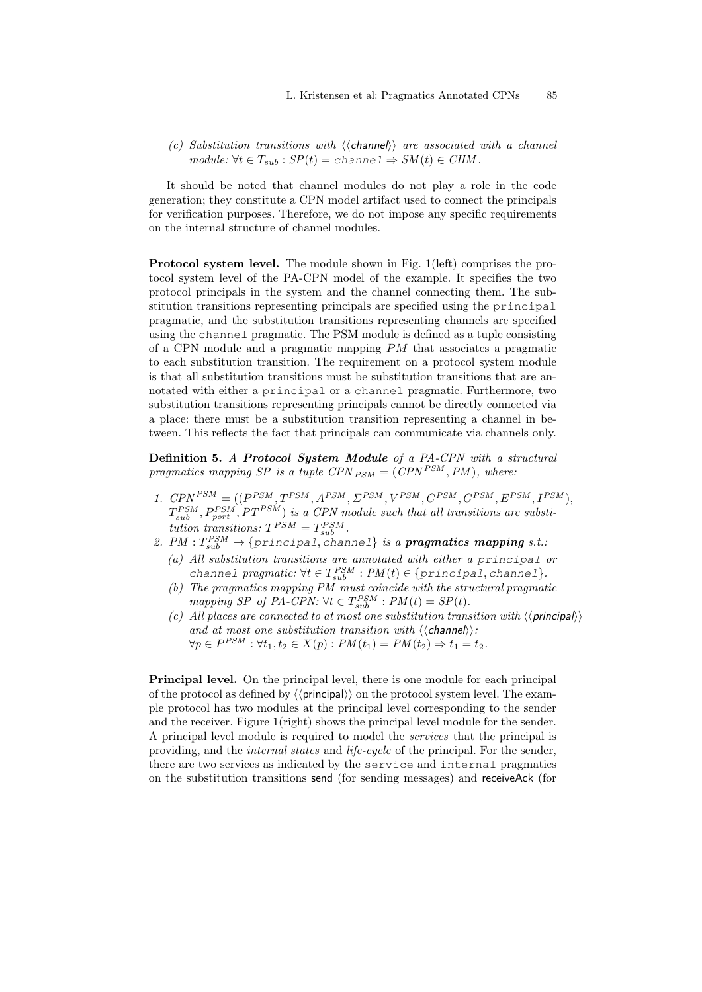(c) Substitution transitions with  $\langle \langle \text{channel} \rangle \rangle$  are associated with a channel module:  $\forall t \in T_{sub} : SP(t) = channel \Rightarrow SM(t) \in CHM$ .

It should be noted that channel modules do not play a role in the code generation; they constitute a CPN model artifact used to connect the principals for verification purposes. Therefore, we do not impose any specific requirements on the internal structure of channel modules.

Protocol system level. The module shown in Fig. 1(left) comprises the protocol system level of the PA-CPN model of the example. It specifies the two protocol principals in the system and the channel connecting them. The substitution transitions representing principals are specified using the principal pragmatic, and the substitution transitions representing channels are specified using the channel pragmatic. The PSM module is defined as a tuple consisting of a CPN module and a pragmatic mapping PM that associates a pragmatic to each substitution transition. The requirement on a protocol system module is that all substitution transitions must be substitution transitions that are annotated with either a principal or a channel pragmatic. Furthermore, two substitution transitions representing principals cannot be directly connected via a place: there must be a substitution transition representing a channel in between. This reflects the fact that principals can communicate via channels only.

Definition 5. A Protocol System Module of a PA-CPN with a structural pragmatics mapping SP is a tuple  $CPN_{PSM} = (CPN^{PSM}, PM)$ , where:

- 1.  $CPN^{PSM} = ((P^{PSM}, T^{PSM}, A^{PSM}, \Sigma^{PSM}, V^{PSM}, C^{PSM}, G^{PSM}, E^{PSM}, I^{PSM}),$  $T_{sub}^{PSM}, P_{port}^{PSM}, PT^{PSM})$  is a CPN module such that all transitions are substitution transitions:  $T^{PSM} = T_{sub}^{PSM}$ .
- 2. PM :  $T_{sub}^{PSM} \rightarrow$  {principal, channel} is a **pragmatics mapping** s.t.:
	- (a) All substitution transitions are annotated with either a principal or channel pragmatic:  $\forall t \in T_{sub}^{PSM} : PM(t) \in \{principal, channel\}.$
	- (b) The pragmatics mapping PM must coincide with the structural pragmatic mapping SP of PA-CPN:  $\forall t \in T_{sub}^{PSM} : PM(t) = SP(t)$ .
	- (c) All places are connected to at most one substitution transition with  $\langle \langle \text{principal} \rangle \rangle$ and at most one substitution transition with  $\langle\langle$  channel $\rangle\rangle$ :  $\forall p \in P^{PSM} : \forall t_1, t_2 \in X(p) : PM(t_1) = PM(t_2) \Rightarrow t_1 = t_2.$

Principal level. On the principal level, there is one module for each principal of the protocol as defined by  $\langle \langle \text{principal} \rangle \rangle$  on the protocol system level. The example protocol has two modules at the principal level corresponding to the sender and the receiver. Figure 1(right) shows the principal level module for the sender. A principal level module is required to model the services that the principal is providing, and the internal states and life-cycle of the principal. For the sender, there are two services as indicated by the service and internal pragmatics on the substitution transitions send (for sending messages) and receiveAck (for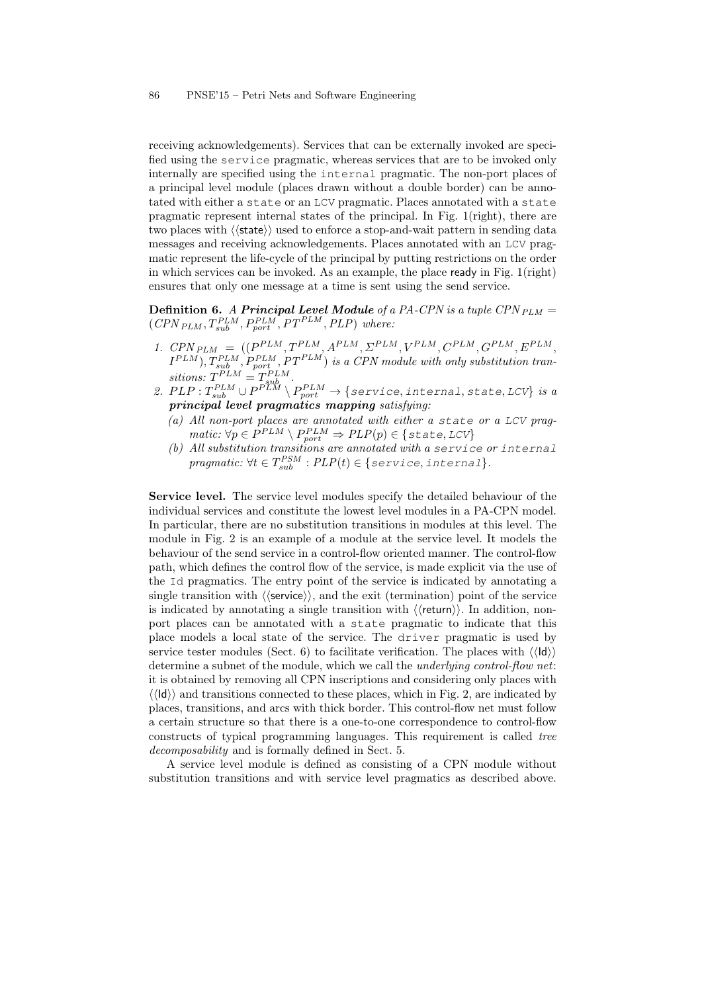receiving acknowledgements). Services that can be externally invoked are specified using the service pragmatic, whereas services that are to be invoked only internally are specified using the internal pragmatic. The non-port places of a principal level module (places drawn without a double border) can be annotated with either a state or an LCV pragmatic. Places annotated with a state pragmatic represent internal states of the principal. In Fig. 1(right), there are two places with  $\langle \langle state \rangle \rangle$  used to enforce a stop-and-wait pattern in sending data messages and receiving acknowledgements. Places annotated with an LCV pragmatic represent the life-cycle of the principal by putting restrictions on the order in which services can be invoked. As an example, the place ready in Fig. 1(right) ensures that only one message at a time is sent using the send service.

**Definition 6.** A Principal Level Module of a PA-CPN is a tuple  $CPN_{PLM} =$  $(CPN<sub>PLM</sub>, T<sub>sub</sub><sup>PLM</sup>, P<sub>port</sub><sup>PLM</sup>, PT<sup>PLM</sup>, PLP)$  where:

- 1.  $CPN_{PLM} = ((P^{PLM}, T^{PLM}, A^{PLM}, \Sigma^{PLM}, V^{PLM}, C^{PLM}, G^{PLM}, E^{PLM},$  $I^{PLM}$ ,  $T_{sub}^{PLM}$ ,  $P_{port}^{PLM}$ ,  $PT^{PLM}$ ) is a CPN module with only substitution transitions:  $T_{PLM}^{PLM} = T_{sub}^{PLM}$ .
- 2.  $PLP: T_{sub}^{PLM} \cup P^{PLM} \setminus P_{port}^{PLM} \rightarrow$  {service, internal, state, LCV} is a principal level pragmatics mapping satisfying:
	- (a) All non-port places are annotated with either a state or a LCV prag- $\textit{matic: } \forall p \in P^{PLM} \setminus P^{PLM}_{port} \Rightarrow PLP(p) \in \{\textit{state,LCV}\}\$
	- (b) All substitution transitions are annotated with a service or internal  $pragmatic: \forall t \in T_{sub}^{PSM}: PLP(t) \in \{ service, internal\}.$

Service level. The service level modules specify the detailed behaviour of the individual services and constitute the lowest level modules in a PA-CPN model. In particular, there are no substitution transitions in modules at this level. The module in Fig. 2 is an example of a module at the service level. It models the behaviour of the send service in a control-flow oriented manner. The control-flow path, which defines the control flow of the service, is made explicit via the use of the Id pragmatics. The entry point of the service is indicated by annotating a single transition with  $\langle$  (service), and the exit (termination) point of the service is indicated by annotating a single transition with  $\langle \langle \text{return} \rangle \rangle$ . In addition, nonport places can be annotated with a state pragmatic to indicate that this place models a local state of the service. The driver pragmatic is used by service tester modules (Sect. 6) to facilitate verification. The places with  $\langle \langle \mathbf{Id} \rangle \rangle$ determine a subnet of the module, which we call the underlying control-flow net: it is obtained by removing all CPN inscriptions and considering only places with  $\langle \langle \mathbf{Id} \rangle \rangle$  and transitions connected to these places, which in Fig. 2, are indicated by places, transitions, and arcs with thick border. This control-flow net must follow a certain structure so that there is a one-to-one correspondence to control-flow constructs of typical programming languages. This requirement is called tree decomposability and is formally defined in Sect. 5.

A service level module is defined as consisting of a CPN module without substitution transitions and with service level pragmatics as described above.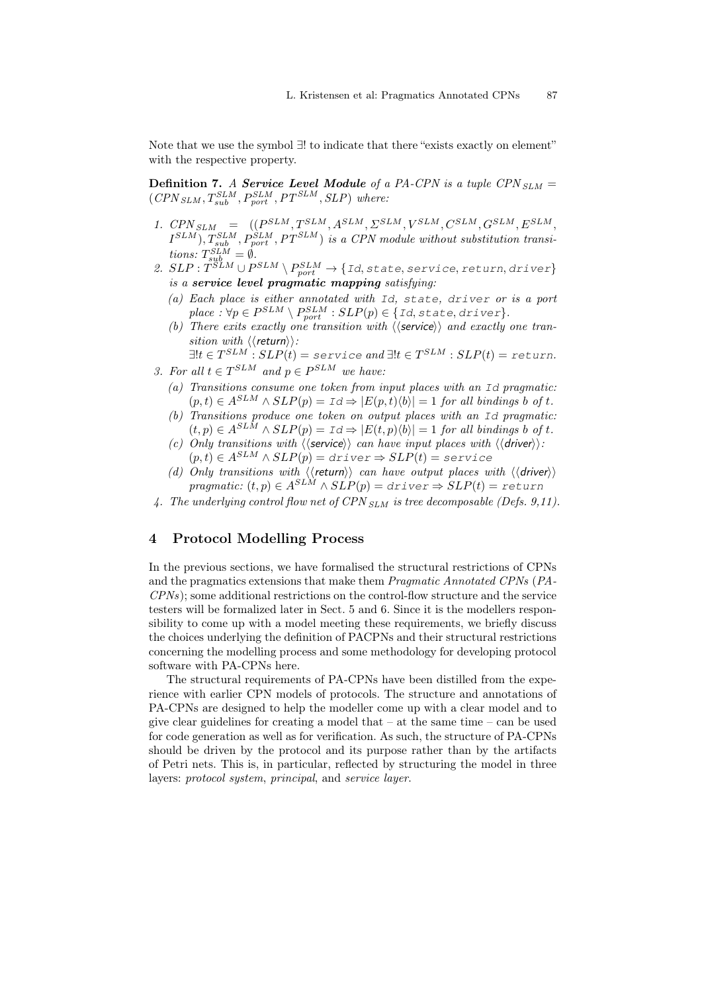Note that we use the symbol ∃! to indicate that there "exists exactly on element" with the respective property.

**Definition 7.** A Service Level Module of a PA-CPN is a tuple CPN  $_{SLM}$  =  $(CPN<sub>SLM</sub>, T<sub>sub</sub><sup>SLM</sup>, P<sub>port</sub><sup>SLM</sup>, PT<sub>SLM</sub>, SLP)$  where:

- 1.  $CPN_{SLM}$  =  $((P^{SLM}, T_{SLM}^{SLM}, A^{SLM}, \Sigma^{SLM}, V^{SLM}, C^{SLM}, G^{SLM}, E^{SLM},$  $I^{SLM}$ ),  $T_{sub}^{SLM}$ ,  $P_{port}^{SLM}$ ,  $PT^{SLM}$ ) is a CPN module without substitution transitions:  $T_{sub}^{SLM} = \emptyset$ .
- 2.  $SLP: T^{SLM} \cup P^{SLM} \setminus P_{port}^{SLM} \rightarrow \{Id, state, service, return, driver\}$ is a service level pragmatic mapping satisfying:
	- (a) Each place is either annotated with Id, state, driver or is a port  $place : \forall p \in P^{SLM} \setminus P_{port}^{SLM} : SLP(p) \in \{Id, state, driver\}.$
	- (b) There exits exactly one transition with  $\langle\langle$  service $\rangle\rangle$  and exactly one transition with  $\langle \langle$ return $\rangle$ :

 $\exists ! t \in T^{SLM} : SLP(t) = \textit{service and } \exists ! t \in T^{SLM} : SLP(t) = \textit{return.}$ 3. For all  $t \in T^{SLM}$  and  $p \in P^{SLM}$  we have:

- (a) Transitions consume one token from input places with an Id pragmatic:  $(p, t) \in A^{SLM} \wedge SLP(p) = \text{Id} \Rightarrow |E(p, t) \langle b \rangle| = 1$  for all bindings b of t.
- (b) Transitions produce one token on output places with an Id pragmatic:  $(t, p) \in A^{SLM} \wedge SLP(p) = \text{Id} \Rightarrow |E(t, p)\langle b\rangle| = 1$  for all bindings b of t.
- (c) Only transitions with  $\langle \langle$  service}) can have input places with  $\langle \langle$  driver}):  $(p, t) \in A^{SLM} \wedge SLP(p) =$  driver  $\Rightarrow SLP(t) =$  service
- (d) Only transitions with  $\langle \langle$ return $\rangle \rangle$  can have output places with  $\langle \langle$  driver $\rangle \rangle$  $pragmatic:$   $(t, p) \in A^{SLM} \wedge SLP(p) =$  driver  $\Rightarrow SLP(t) =$  return
- 4. The underlying control flow net of  $CPN_{SLM}$  is tree decomposable (Defs. 9,11).

# 4 Protocol Modelling Process

In the previous sections, we have formalised the structural restrictions of CPNs and the pragmatics extensions that make them Pragmatic Annotated CPNs (PA- $CPNs$ ; some additional restrictions on the control-flow structure and the service testers will be formalized later in Sect. 5 and 6. Since it is the modellers responsibility to come up with a model meeting these requirements, we briefly discuss the choices underlying the definition of PACPNs and their structural restrictions concerning the modelling process and some methodology for developing protocol software with PA-CPNs here.

The structural requirements of PA-CPNs have been distilled from the experience with earlier CPN models of protocols. The structure and annotations of PA-CPNs are designed to help the modeller come up with a clear model and to give clear guidelines for creating a model that  $-$  at the same time  $-$  can be used for code generation as well as for verification. As such, the structure of PA-CPNs should be driven by the protocol and its purpose rather than by the artifacts of Petri nets. This is, in particular, reflected by structuring the model in three layers: protocol system, principal, and service layer.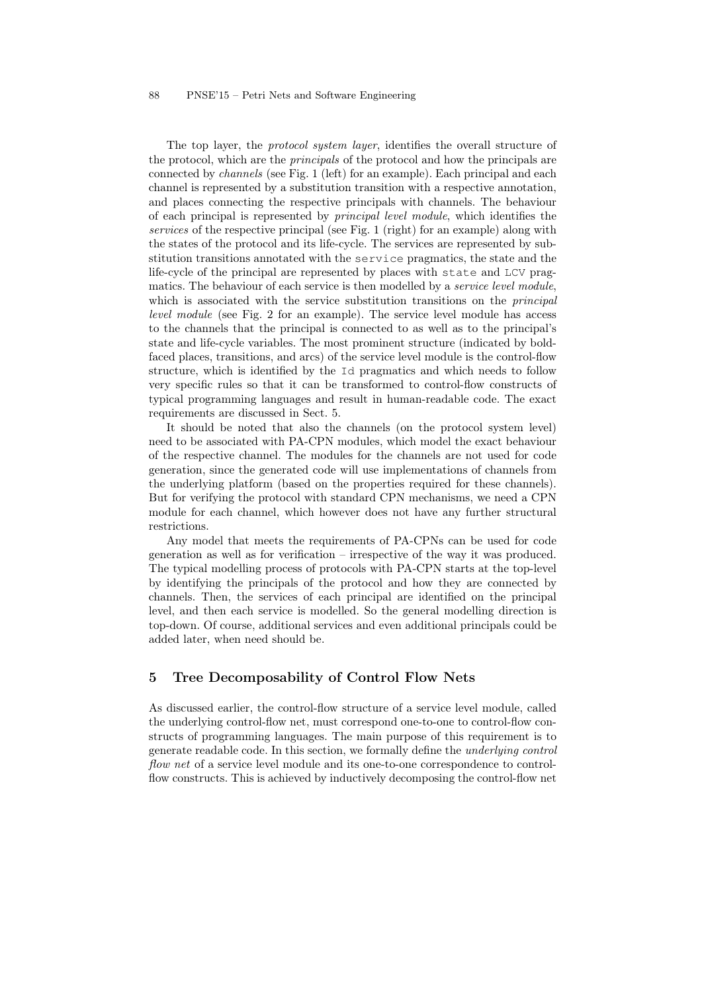#### 88 PNSE'15 – Petri Nets and Software Engineering

The top layer, the *protocol system layer*, identifies the overall structure of the protocol, which are the principals of the protocol and how the principals are connected by channels (see Fig. 1 (left) for an example). Each principal and each channel is represented by a substitution transition with a respective annotation, and places connecting the respective principals with channels. The behaviour of each principal is represented by principal level module, which identifies the services of the respective principal (see Fig. 1 (right) for an example) along with the states of the protocol and its life-cycle. The services are represented by substitution transitions annotated with the service pragmatics, the state and the life-cycle of the principal are represented by places with state and LCV pragmatics. The behaviour of each service is then modelled by a service level module, which is associated with the service substitution transitions on the *principal* level module (see Fig. 2 for an example). The service level module has access to the channels that the principal is connected to as well as to the principal's state and life-cycle variables. The most prominent structure (indicated by boldfaced places, transitions, and arcs) of the service level module is the control-flow structure, which is identified by the Id pragmatics and which needs to follow very specific rules so that it can be transformed to control-flow constructs of typical programming languages and result in human-readable code. The exact requirements are discussed in Sect. 5.

It should be noted that also the channels (on the protocol system level) need to be associated with PA-CPN modules, which model the exact behaviour of the respective channel. The modules for the channels are not used for code generation, since the generated code will use implementations of channels from the underlying platform (based on the properties required for these channels). But for verifying the protocol with standard CPN mechanisms, we need a CPN module for each channel, which however does not have any further structural restrictions.

Any model that meets the requirements of PA-CPNs can be used for code generation as well as for verification – irrespective of the way it was produced. The typical modelling process of protocols with PA-CPN starts at the top-level by identifying the principals of the protocol and how they are connected by channels. Then, the services of each principal are identified on the principal level, and then each service is modelled. So the general modelling direction is top-down. Of course, additional services and even additional principals could be added later, when need should be.

# 5 Tree Decomposability of Control Flow Nets

As discussed earlier, the control-flow structure of a service level module, called the underlying control-flow net, must correspond one-to-one to control-flow constructs of programming languages. The main purpose of this requirement is to generate readable code. In this section, we formally define the underlying control flow net of a service level module and its one-to-one correspondence to controlflow constructs. This is achieved by inductively decomposing the control-flow net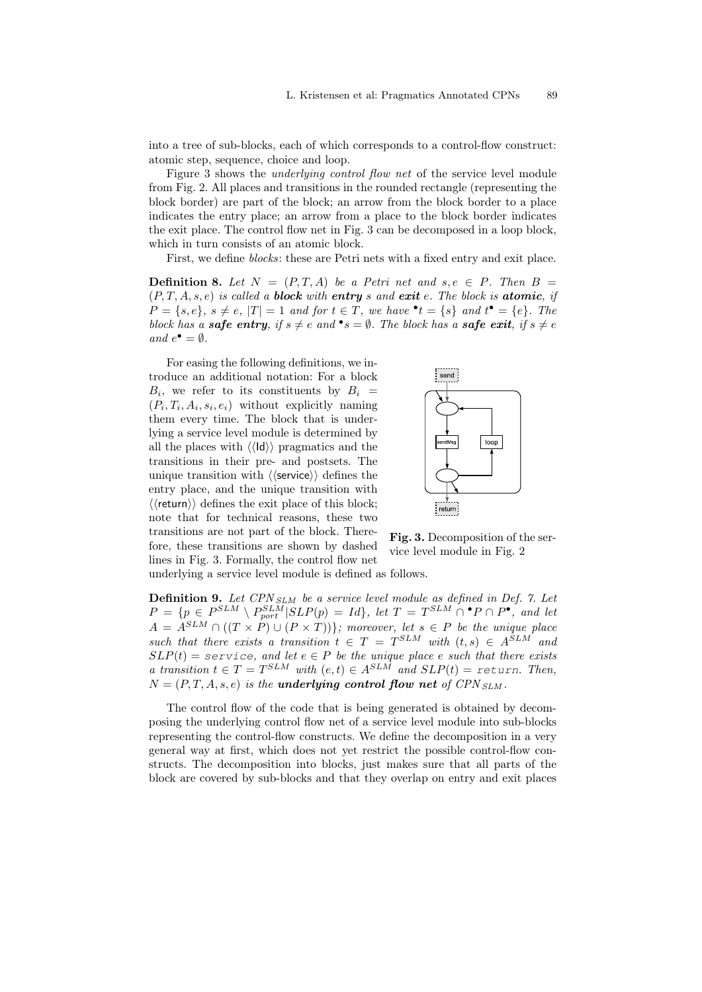into a tree of sub-blocks, each of which corresponds to a control-flow construct: atomic step, sequence, choice and loop.

Figure 3 shows the underlying control flow net of the service level module from Fig. 2. All places and transitions in the rounded rectangle (representing the block border) are part of the block; an arrow from the block border to a place indicates the entry place; an arrow from a place to the block border indicates the exit place. The control flow net in Fig. 3 can be decomposed in a loop block, which in turn consists of an atomic block.

First, we define *blocks*: these are Petri nets with a fixed entry and exit place.

**Definition 8.** Let  $N = (P, T, A)$  be a Petri net and  $s, e \in P$ . Then  $B =$  $(P, T, A, s, e)$  is called a **block** with **entry** s and **exit** e. The block is **atomic**, if  $P = \{s, e\}, s \neq e, |T| = 1$  and for  $t \in T$ , we have  $\bullet t = \{s\}$  and  $t^{\bullet} = \{e\}.$  The block has a **safe entry**, if  $s \neq e$  and  $\bullet s = \emptyset$ . The block has a **safe exit**, if  $s \neq e$ and  $e^{\bullet} = \emptyset$ .

For easing the following definitions, we introduce an additional notation: For a block  $B_i$ , we refer to its constituents by  $B_i =$  $(P_i, T_i, A_i, s_i, e_i)$  without explicitly naming them every time. The block that is underlying a service level module is determined by all the places with  $\langle \langle \mathsf{Id} \rangle \rangle$  pragmatics and the transitions in their pre- and postsets. The unique transition with  $\langle$  (service) defines the entry place, and the unique transition with  $\langle \langle \text{return} \rangle \rangle$  defines the exit place of this block; note that for technical reasons, these two transitions are not part of the block. Therefore, these transitions are shown by dashed lines in Fig. 3. Formally, the control flow net



Fig. 3. Decomposition of the service level module in Fig. 2

underlying a service level module is defined as follows.

**Definition 9.** Let  $CPN_{SLM}$  be a service level module as defined in Def. 7. Let  $P = \{p \in P^{SLM} \setminus P^{SLM}_{port} | SLP(p) = Id\}$ , let  $T = T^{SLM} \cap \bullet P \cap P^{\bullet}$ , and let  $A = A^{SLM} \cap ((T \times P) \cup (P \times T))\};$  moreover, let  $s \in P$  be the unique place such that there exists a transition  $t \in T = T^{SLM}$  with  $(t, s) \in A^{SLM}$  and  $SLP(t) =$  service, and let  $e \in P$  be the unique place e such that there exists a transition  $t \in T = T^{SLM}$  with  $(e, t) \in A^{SLM}$  and  $SLP(t) =$  return. Then,  $N = (P, T, A, s, e)$  is the underlying control flow net of CPN<sub>SLM</sub>.

The control flow of the code that is being generated is obtained by decomposing the underlying control flow net of a service level module into sub-blocks representing the control-flow constructs. We define the decomposition in a very general way at first, which does not yet restrict the possible control-flow constructs. The decomposition into blocks, just makes sure that all parts of the block are covered by sub-blocks and that they overlap on entry and exit places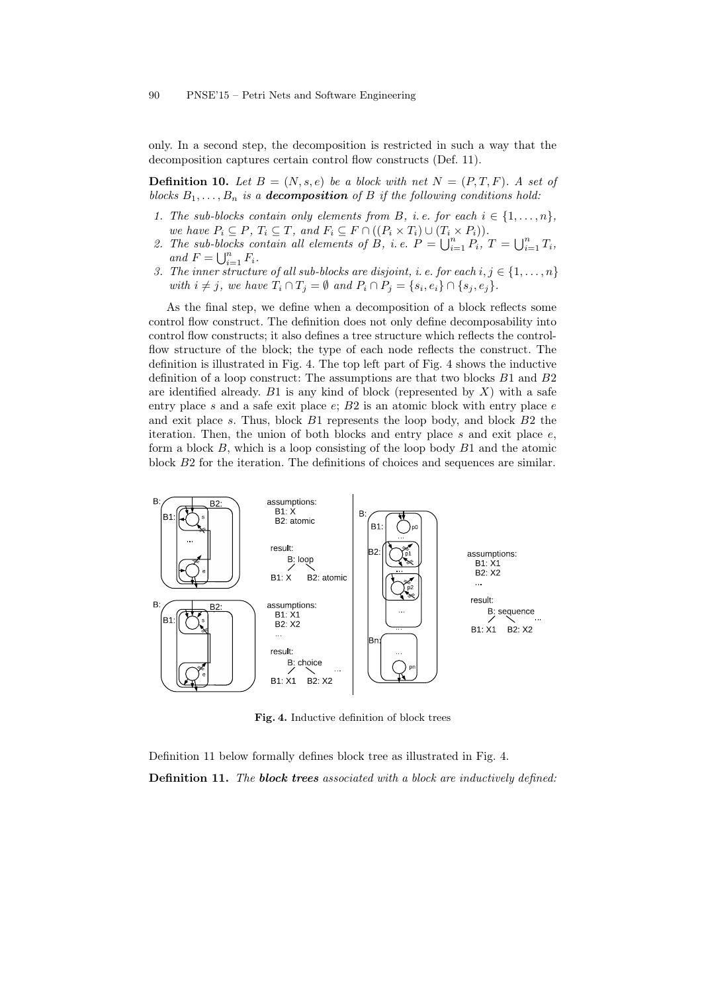#### 90 PNSE'15 – Petri Nets and Software Engineering

only. In a second step, the decomposition is restricted in such a way that the decomposition captures certain control flow constructs (Def. 11).

**Definition 10.** Let  $B = (N, s, e)$  be a block with net  $N = (P, T, F)$ . A set of blocks  $B_1, \ldots, B_n$  is a **decomposition** of B if the following conditions hold:

- 1. The sub-blocks contain only elements from B, i.e. for each  $i \in \{1, \ldots, n\}$ , we have  $P_i \subseteq P$ ,  $T_i \subseteq T$ , and  $F_i \subseteq F \cap ((P_i \times T_i) \cup (T_i \times P_i)).$
- 2. The sub-blocks contain all elements of B, i.e.  $P = \bigcup_{i=1}^{n} P_i$ ,  $T = \bigcup_{i=1}^{n} T_i$ , and  $F = \bigcup_{i=1}^n F_i$ .
- 3. The inner structure of all sub-blocks are disjoint, i. e. for each  $i, j \in \{1, \ldots, n\}$ with  $i \neq j$ , we have  $T_i \cap T_j = \emptyset$  and  $P_i \cap P_j = \{s_i, e_i\} \cap \{s_j, e_j\}.$

As the final step, we define when a decomposition of a block reflects some control flow construct. The definition does not only define decomposability into control flow constructs; it also defines a tree structure which reflects the controlflow structure of the block; the type of each node reflects the construct. The definition is illustrated in Fig. 4. The top left part of Fig. 4 shows the inductive definition of a loop construct: The assumptions are that two blocks  $B1$  and  $B2$ are identified already. B1 is any kind of block (represented by  $X$ ) with a safe entry place  $s$  and a safe exit place  $e$ ;  $B2$  is an atomic block with entry place  $e$ and exit place s. Thus, block  $B1$  represents the loop body, and block  $B2$  the iteration. Then, the union of both blocks and entry place  $s$  and exit place  $e$ , form a block  $B$ , which is a loop consisting of the loop body  $B1$  and the atomic block B2 for the iteration. The definitions of choices and sequences are similar.



Fig. 4. Inductive definition of block trees

Definition 11 below formally defines block tree as illustrated in Fig. 4. Definition 11. The block trees associated with a block are inductively defined: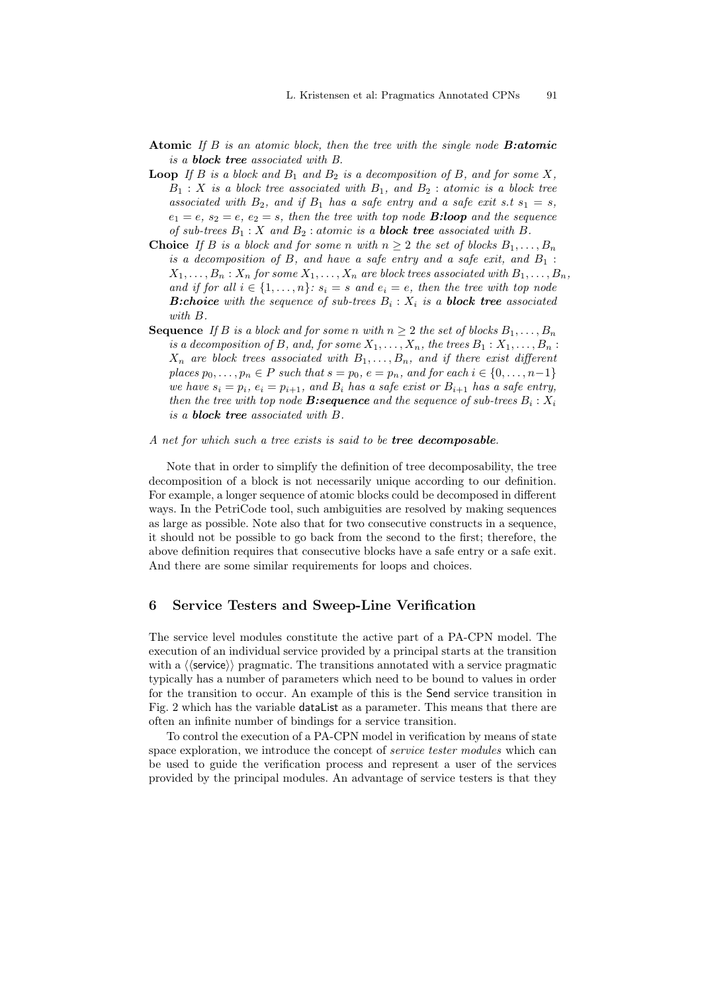- **Atomic** If B is an atomic block, then the tree with the single node  $B:atomic$ is a block tree associated with B.
- **Loop** If B is a block and  $B_1$  and  $B_2$  is a decomposition of B, and for some X,  $B_1: X$  is a block tree associated with  $B_1$ , and  $B_2:$  atomic is a block tree associated with  $B_2$ , and if  $B_1$  has a safe entry and a safe exit s.t  $s_1 = s$ ,  $e_1 = e$ ,  $s_2 = e$ ,  $e_2 = s$ , then the tree with top node **B:loop** and the sequence of sub-trees  $B_1$ : X and  $B_2$ : atomic is a **block tree** associated with B.
- **Choice** If B is a block and for some n with  $n \geq 2$  the set of blocks  $B_1, \ldots, B_n$ is a decomposition of  $B$ , and have a safe entry and a safe exit, and  $B_1$ :  $X_1, \ldots, B_n : X_n$  for some  $X_1, \ldots, X_n$  are block trees associated with  $B_1, \ldots, B_n$ , and if for all  $i \in \{1, \ldots, n\}$ :  $s_i = s$  and  $e_i = e$ , then the tree with top node **B:choice** with the sequence of sub-trees  $B_i$ :  $X_i$  is a **block tree** associated with B.
- **Sequence** If B is a block and for some n with  $n \geq 2$  the set of blocks  $B_1, \ldots, B_n$ is a decomposition of B, and, for some  $X_1, \ldots, X_n$ , the trees  $B_1 : X_1, \ldots, B_n$ :  $X_n$  are block trees associated with  $B_1, \ldots, B_n$ , and if there exist different places  $p_0, \ldots, p_n \in P$  such that  $s = p_0, e = p_n$ , and for each  $i \in \{0, \ldots, n-1\}$ we have  $s_i = p_i$ ,  $e_i = p_{i+1}$ , and  $B_i$  has a safe exist or  $B_{i+1}$  has a safe entry, then the tree with top node **B:sequence** and the sequence of sub-trees  $B_i: X_i$ is a block tree associated with B.

### A net for which such a tree exists is said to be **tree decomposable**.

Note that in order to simplify the definition of tree decomposability, the tree decomposition of a block is not necessarily unique according to our definition. For example, a longer sequence of atomic blocks could be decomposed in different ways. In the PetriCode tool, such ambiguities are resolved by making sequences as large as possible. Note also that for two consecutive constructs in a sequence, it should not be possible to go back from the second to the first; therefore, the above definition requires that consecutive blocks have a safe entry or a safe exit. And there are some similar requirements for loops and choices.

## 6 Service Testers and Sweep-Line Verification

The service level modules constitute the active part of a PA-CPN model. The execution of an individual service provided by a principal starts at the transition with a  $\langle$  (service)) pragmatic. The transitions annotated with a service pragmatic typically has a number of parameters which need to be bound to values in order for the transition to occur. An example of this is the Send service transition in Fig. 2 which has the variable dataList as a parameter. This means that there are often an infinite number of bindings for a service transition.

To control the execution of a PA-CPN model in verification by means of state space exploration, we introduce the concept of *service tester modules* which can be used to guide the verification process and represent a user of the services provided by the principal modules. An advantage of service testers is that they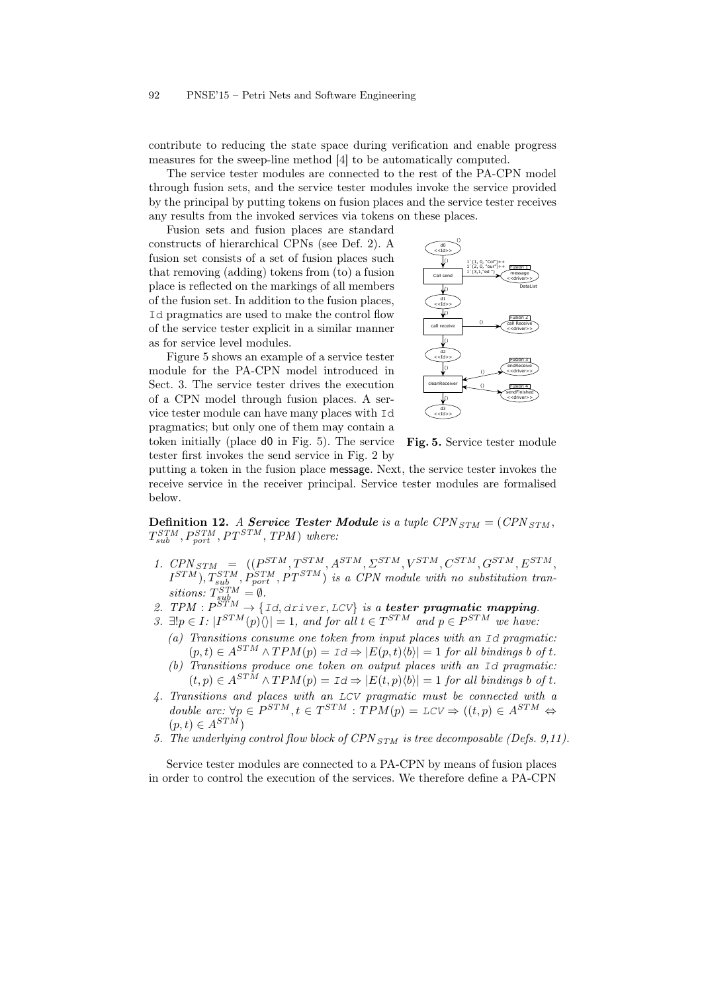contribute to reducing the state space during verification and enable progress measures for the sweep-line method [4] to be automatically computed.

The service tester modules are connected to the rest of the PA-CPN model through fusion sets, and the service tester modules invoke the service provided by the principal by putting tokens on fusion places and the service tester receives any results from the invoked services via tokens on these places.

Fusion sets and fusion places are standard constructs of hierarchical CPNs (see Def. 2). A fusion set consists of a set of fusion places such that removing (adding) tokens from (to) a fusion place is reflected on the markings of all members of the fusion set. In addition to the fusion places, Id pragmatics are used to make the control flow of the service tester explicit in a similar manner as for service level modules.

Figure 5 shows an example of a service tester module for the PA-CPN model introduced in Sect. 3. The service tester drives the execution of a CPN model through fusion places. A service tester module can have many places with Id pragmatics; but only one of them may contain a token initially (place d0 in Fig. 5). The service tester first invokes the send service in Fig. 2 by



Fig. 5. Service tester module

putting a token in the fusion place message. Next, the service tester invokes the receive service in the receiver principal. Service tester modules are formalised below.

**Definition 12.** A Service Tester Module is a tuple  $CPN_{STM} = (CPN_{STM},$  $T_{sub}^{STM}, P_{port}^{STM}, TPM$  where:

- 1.  $CPN_{STM}$  =  $((P^{STM}, T_{s=1}^{STM}, A^{STM}, \Sigma^{STM}, V^{STM}, C^{STM}, G^{STM}, E^{STM},$  $I^{STM}, T_{sub}^{STM}, P_{port}^{STM}$  a CPN module with no substitution transitions:  $T_{sub}^{STM} = \emptyset$ .
- 2.  $TPM: P^{STM} \rightarrow \{Id, driver, LCV\}$  is a **tester pragmatic mapping.**
- 3.  $\exists ! p \in I : |I^{STM}(p) \langle \rangle| = 1$ , and for all  $t \in T^{STM}$  and  $p \in P^{STM}$  we have:
	- (a) Transitions consume one token from input places with an Id pragmatic:  $(p, t) \in A^{STM} \wedge TPM(p) = \text{Id} \Rightarrow |E(p, t)\langle b\rangle| = 1$  for all bindings b of t.
	- (b) Transitions produce one token on output places with an Id pragmatic:  $(t, p) \in A^{STM} \wedge TPM(p) = \text{Id} \Rightarrow |E(t, p)\langle b\rangle| = 1$  for all bindings b of t.
- 4. Transitions and places with an LCV pragmatic must be connected with a double arc:  $\forall p \in P^{STM}, t \in T^{STM} : TPM(p) = \text{LCV} \Rightarrow ((t, p) \in A^{STM} \Leftrightarrow$  $(p, t) \in A^{STM}$
- 5. The underlying control flow block of  $CPN_{STM}$  is tree decomposable (Defs. 9,11).

Service tester modules are connected to a PA-CPN by means of fusion places in order to control the execution of the services. We therefore define a PA-CPN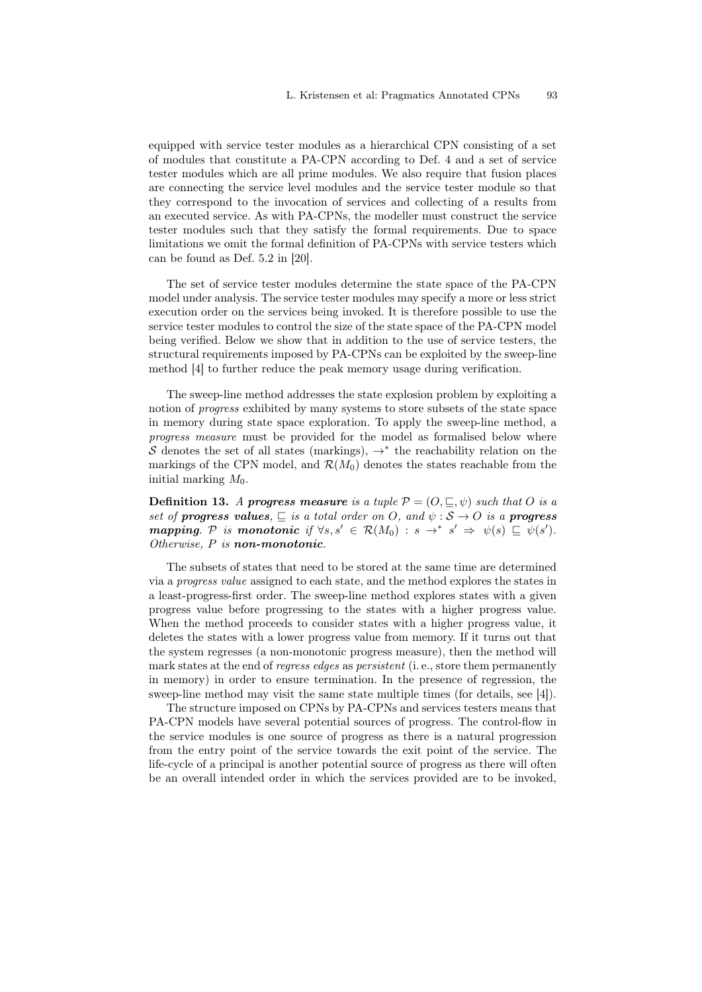equipped with service tester modules as a hierarchical CPN consisting of a set of modules that constitute a PA-CPN according to Def. 4 and a set of service tester modules which are all prime modules. We also require that fusion places are connecting the service level modules and the service tester module so that they correspond to the invocation of services and collecting of a results from an executed service. As with PA-CPNs, the modeller must construct the service tester modules such that they satisfy the formal requirements. Due to space limitations we omit the formal definition of PA-CPNs with service testers which can be found as Def. 5.2 in [20].

The set of service tester modules determine the state space of the PA-CPN model under analysis. The service tester modules may specify a more or less strict execution order on the services being invoked. It is therefore possible to use the service tester modules to control the size of the state space of the PA-CPN model being verified. Below we show that in addition to the use of service testers, the structural requirements imposed by PA-CPNs can be exploited by the sweep-line method [4] to further reduce the peak memory usage during verification.

The sweep-line method addresses the state explosion problem by exploiting a notion of *progress* exhibited by many systems to store subsets of the state space in memory during state space exploration. To apply the sweep-line method, a progress measure must be provided for the model as formalised below where S denotes the set of all states (markings),  $\rightarrow^*$  the reachability relation on the markings of the CPN model, and  $\mathcal{R}(M_0)$  denotes the states reachable from the initial marking  $M_0$ .

**Definition 13.** A progress measure is a tuple  $P = (O, \subseteq, \psi)$  such that O is a set of **progress values**,  $\subseteq$  is a total order on O, and  $\psi : \mathcal{S} \to \mathcal{O}$  is a **progress** mapping. P is monotonic if  $\forall s, s' \in \mathcal{R}(M_0) : s \to^* s' \Rightarrow \psi(s) \sqsubseteq \psi(s')$ . Otherwise, P is non-monotonic.

The subsets of states that need to be stored at the same time are determined via a progress value assigned to each state, and the method explores the states in a least-progress-first order. The sweep-line method explores states with a given progress value before progressing to the states with a higher progress value. When the method proceeds to consider states with a higher progress value, it deletes the states with a lower progress value from memory. If it turns out that the system regresses (a non-monotonic progress measure), then the method will mark states at the end of regress edges as persistent (i. e., store them permanently in memory) in order to ensure termination. In the presence of regression, the sweep-line method may visit the same state multiple times (for details, see [4]).

The structure imposed on CPNs by PA-CPNs and services testers means that PA-CPN models have several potential sources of progress. The control-flow in the service modules is one source of progress as there is a natural progression from the entry point of the service towards the exit point of the service. The life-cycle of a principal is another potential source of progress as there will often be an overall intended order in which the services provided are to be invoked,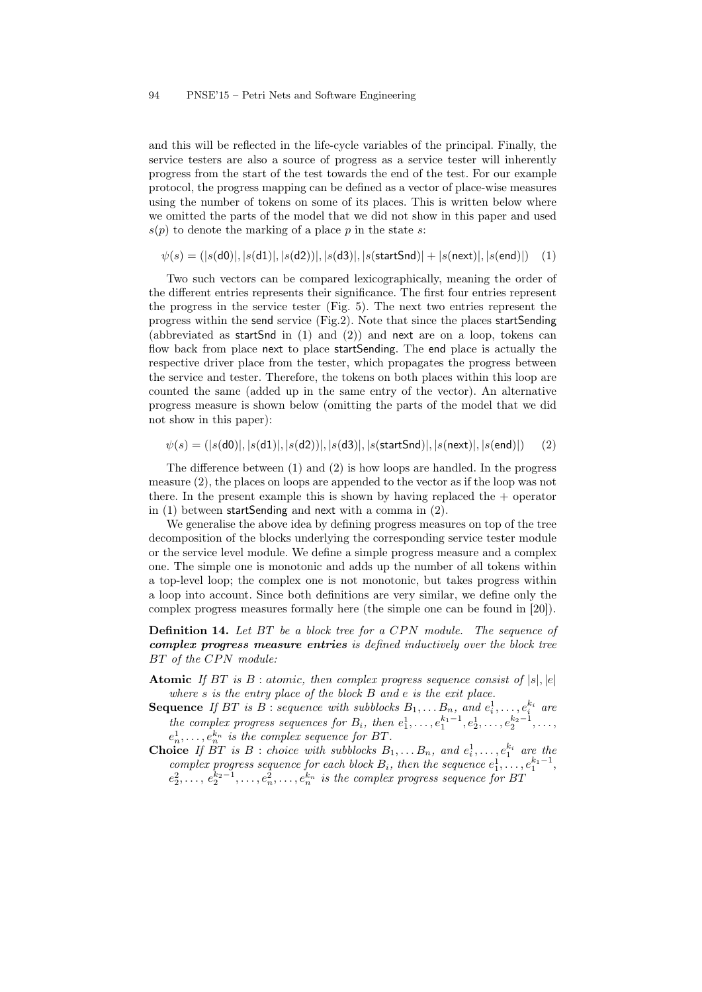and this will be reflected in the life-cycle variables of the principal. Finally, the service testers are also a source of progress as a service tester will inherently progress from the start of the test towards the end of the test. For our example protocol, the progress mapping can be defined as a vector of place-wise measures using the number of tokens on some of its places. This is written below where we omitted the parts of the model that we did not show in this paper and used  $s(p)$  to denote the marking of a place p in the state s:

 $\psi(s) = (|s(d0)|, |s(d1)|, |s(d2)|, |s(d3)|, |s(\text{startS}|\mathbf{d}))| + |s(\text{next})|, |s(\text{end})|)$  (1)

Two such vectors can be compared lexicographically, meaning the order of the different entries represents their significance. The first four entries represent the progress in the service tester (Fig. 5). The next two entries represent the progress within the send service (Fig.2). Note that since the places startSending (abbreviated as startSnd in (1) and (2)) and next are on a loop, tokens can flow back from place next to place startSending. The end place is actually the respective driver place from the tester, which propagates the progress between the service and tester. Therefore, the tokens on both places within this loop are counted the same (added up in the same entry of the vector). An alternative progress measure is shown below (omitting the parts of the model that we did not show in this paper):

 $\psi(s) = (|s(\text{d}0)|, |s(\text{d}1)|, |s(\text{d}2))|, |s(\text{d}3)|, |s(\text{startS}|\,, |s(\text{next})|, |s(\text{end})|)$  (2)

The difference between (1) and (2) is how loops are handled. In the progress measure (2), the places on loops are appended to the vector as if the loop was not there. In the present example this is shown by having replaced the  $+$  operator in (1) between startSending and next with a comma in (2).

We generalise the above idea by defining progress measures on top of the tree decomposition of the blocks underlying the corresponding service tester module or the service level module. We define a simple progress measure and a complex one. The simple one is monotonic and adds up the number of all tokens within a top-level loop; the complex one is not monotonic, but takes progress within a loop into account. Since both definitions are very similar, we define only the complex progress measures formally here (the simple one can be found in [20]).

**Definition 14.** Let BT be a block tree for a CPN module. The sequence of complex progress measure entries is defined inductively over the block tree BT of the CPN module:

- Atomic If BT is B : atomic, then complex progress sequence consist of  $|s|, |e|$ where  $s$  is the entry place of the block  $B$  and  $e$  is the exit place.
- **Sequence** If BT is B : sequence with subblocks  $B_1, \ldots, B_n$ , and  $e_i^1, \ldots, e_i^{k_i}$  are the complex progress sequences for  $B_i$ , then  $e_1^1, \ldots, e_1^{k_1-1}, e_2^1, \ldots, e_2^{k_2-1}, \ldots$  $e_n^1, \ldots, e_n^{k_n}$  is the complex sequence for BT.
- **Choice** If BT is B : choice with subblocks  $B_1, \ldots, B_n$ , and  $e_1^1, \ldots, e_1^{k_i}$  are the complex progress sequence for each block  $B_i$ , then the sequence  $e_1^1, \ldots, e_1^{k_1-1}$ ,  $e_2^2, \ldots, e_2^{k_2-1}, \ldots, e_n^2, \ldots, e_n^{k_n}$  is the complex progress sequence for BT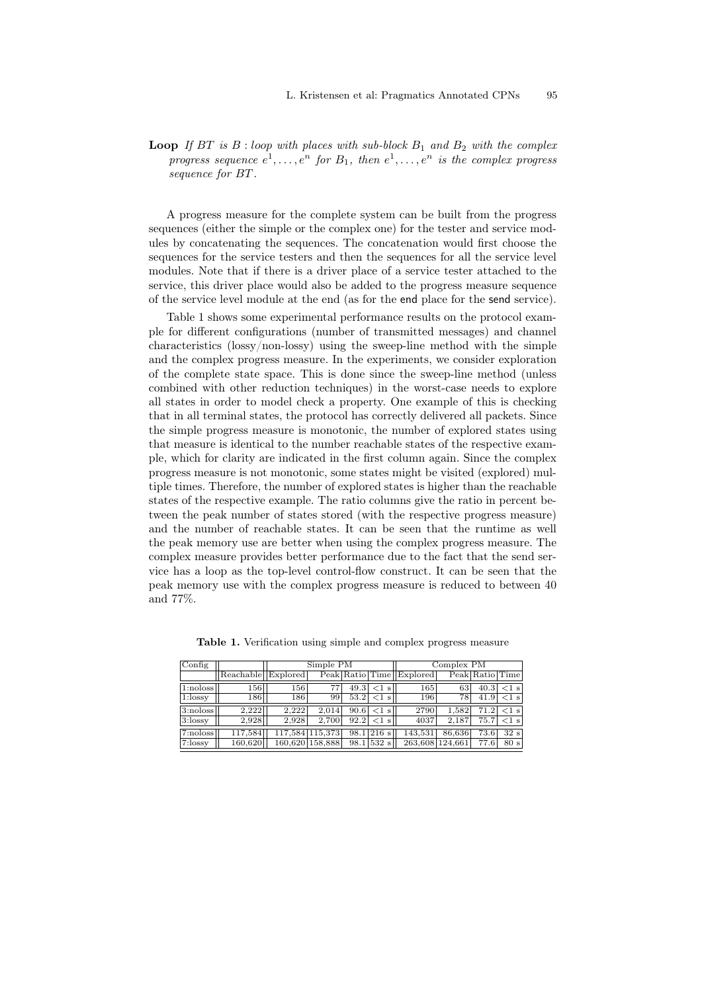**Loop** If BT is B : loop with places with sub-block  $B_1$  and  $B_2$  with the complex progress sequence  $e^1, \ldots, e^n$  for  $B_1$ , then  $e^1, \ldots, e^n$  is the complex progress sequence for BT.

A progress measure for the complete system can be built from the progress sequences (either the simple or the complex one) for the tester and service modules by concatenating the sequences. The concatenation would first choose the sequences for the service testers and then the sequences for all the service level modules. Note that if there is a driver place of a service tester attached to the service, this driver place would also be added to the progress measure sequence of the service level module at the end (as for the end place for the send service).

Table 1 shows some experimental performance results on the protocol example for different configurations (number of transmitted messages) and channel characteristics (lossy/non-lossy) using the sweep-line method with the simple and the complex progress measure. In the experiments, we consider exploration of the complete state space. This is done since the sweep-line method (unless combined with other reduction techniques) in the worst-case needs to explore all states in order to model check a property. One example of this is checking that in all terminal states, the protocol has correctly delivered all packets. Since the simple progress measure is monotonic, the number of explored states using that measure is identical to the number reachable states of the respective example, which for clarity are indicated in the first column again. Since the complex progress measure is not monotonic, some states might be visited (explored) multiple times. Therefore, the number of explored states is higher than the reachable states of the respective example. The ratio columns give the ratio in percent between the peak number of states stored (with the respective progress measure) and the number of reachable states. It can be seen that the runtime as well the peak memory use are better when using the complex progress measure. The complex measure provides better performance due to the fact that the send service has a loop as the top-level control-flow construct. It can be seen that the peak memory use with the complex progress measure is reduced to between 40 and 77%.

| Config     |                      | Simple PM |                   |      |                        | Complex PM                 |                 |                 |        |
|------------|----------------------|-----------|-------------------|------|------------------------|----------------------------|-----------------|-----------------|--------|
|            | Reachable   Explored |           |                   |      |                        | Peak Ratio Time   Explored |                 | Peak Ratio Time |        |
| 1:noloss   | 156                  | 156       |                   | 49.3 | $\langle 1 \rangle$ sl | 165                        | 63              | 40.3            | $<1$ s |
| 1:lossv    | 186                  | 186       | 99                | 53.2 | $\langle 1 \rangle$ s  | 196                        | 78              | 41.9            | $<1$ s |
| 3:noloss   | 2.222                | 2.222     | 2.014             | 90.6 | $\langle 1 \rangle$ s  | 2790                       | 1.582           | 71.2            | $<1$ s |
| 3:lossv    | 2,928                | 2.928     | 2.700             | 92.2 | $\langle 1 \rangle$ s  | 4037                       | 2.187           | 75.7            | $<1$ s |
| 7:noloss   | 117,584              |           | 117.584 115.373   |      | $98.1$  216 s          | 143.531                    | 86.636          | 73.6            | 32s    |
| $7:$ lossy | 160,620              |           | 160,620   158,888 |      | 98.1 532 s             |                            | 263.608 124.661 | 77.6            | 80s    |

Table 1. Verification using simple and complex progress measure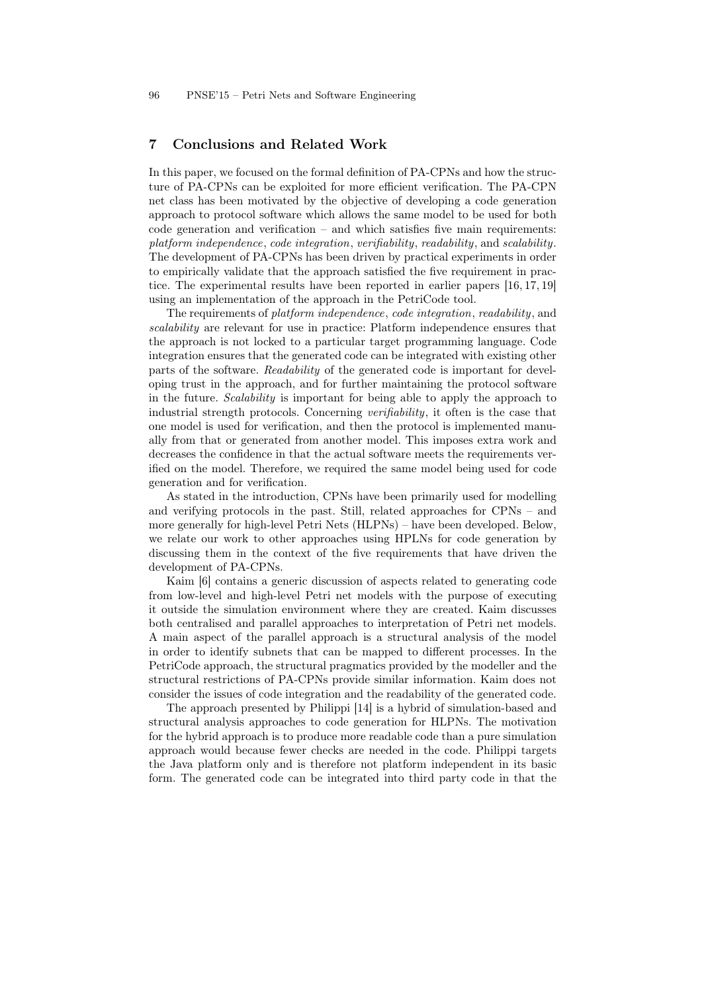# 7 Conclusions and Related Work

In this paper, we focused on the formal definition of PA-CPNs and how the structure of PA-CPNs can be exploited for more efficient verification. The PA-CPN net class has been motivated by the objective of developing a code generation approach to protocol software which allows the same model to be used for both code generation and verification – and which satisfies five main requirements: platform independence, code integration, verifiability, readability, and scalability. The development of PA-CPNs has been driven by practical experiments in order to empirically validate that the approach satisfied the five requirement in practice. The experimental results have been reported in earlier papers [16, 17, 19] using an implementation of the approach in the PetriCode tool.

The requirements of platform independence, code integration, readability, and scalability are relevant for use in practice: Platform independence ensures that the approach is not locked to a particular target programming language. Code integration ensures that the generated code can be integrated with existing other parts of the software. Readability of the generated code is important for developing trust in the approach, and for further maintaining the protocol software in the future. Scalability is important for being able to apply the approach to industrial strength protocols. Concerning verifiability, it often is the case that one model is used for verification, and then the protocol is implemented manually from that or generated from another model. This imposes extra work and decreases the confidence in that the actual software meets the requirements verified on the model. Therefore, we required the same model being used for code generation and for verification.

As stated in the introduction, CPNs have been primarily used for modelling and verifying protocols in the past. Still, related approaches for CPNs – and more generally for high-level Petri Nets (HLPNs) – have been developed. Below, we relate our work to other approaches using HPLNs for code generation by discussing them in the context of the five requirements that have driven the development of PA-CPNs.

Kaim [6] contains a generic discussion of aspects related to generating code from low-level and high-level Petri net models with the purpose of executing it outside the simulation environment where they are created. Kaim discusses both centralised and parallel approaches to interpretation of Petri net models. A main aspect of the parallel approach is a structural analysis of the model in order to identify subnets that can be mapped to different processes. In the PetriCode approach, the structural pragmatics provided by the modeller and the structural restrictions of PA-CPNs provide similar information. Kaim does not consider the issues of code integration and the readability of the generated code.

The approach presented by Philippi [14] is a hybrid of simulation-based and structural analysis approaches to code generation for HLPNs. The motivation for the hybrid approach is to produce more readable code than a pure simulation approach would because fewer checks are needed in the code. Philippi targets the Java platform only and is therefore not platform independent in its basic form. The generated code can be integrated into third party code in that the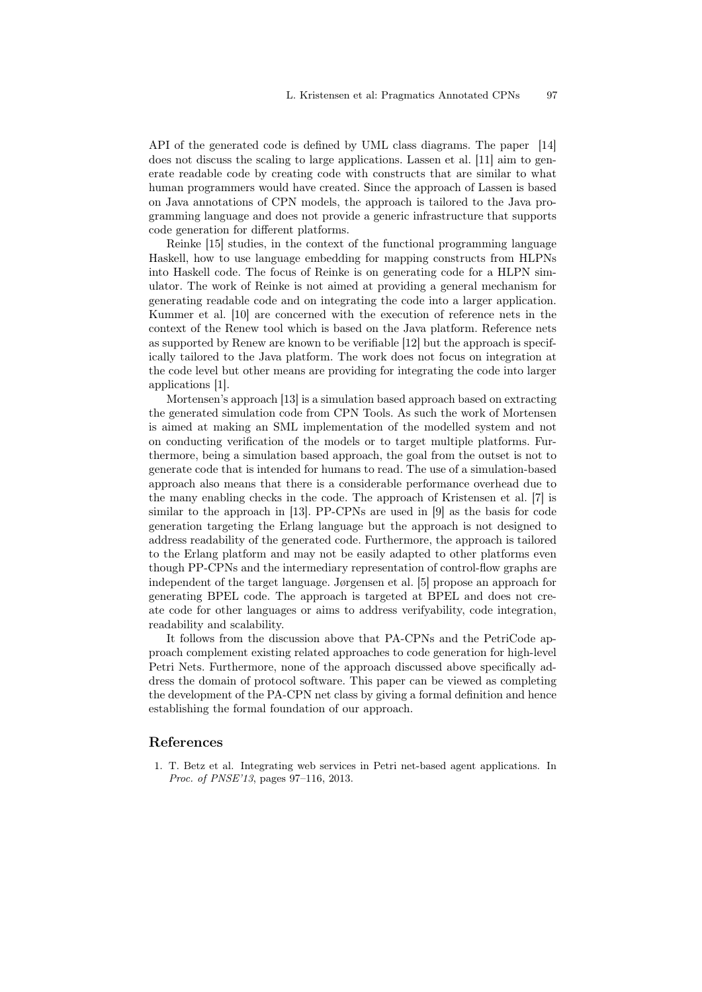API of the generated code is defined by UML class diagrams. The paper [14] does not discuss the scaling to large applications. Lassen et al. [11] aim to generate readable code by creating code with constructs that are similar to what human programmers would have created. Since the approach of Lassen is based on Java annotations of CPN models, the approach is tailored to the Java programming language and does not provide a generic infrastructure that supports code generation for different platforms.

Reinke [15] studies, in the context of the functional programming language Haskell, how to use language embedding for mapping constructs from HLPNs into Haskell code. The focus of Reinke is on generating code for a HLPN simulator. The work of Reinke is not aimed at providing a general mechanism for generating readable code and on integrating the code into a larger application. Kummer et al. [10] are concerned with the execution of reference nets in the context of the Renew tool which is based on the Java platform. Reference nets as supported by Renew are known to be verifiable [12] but the approach is specifically tailored to the Java platform. The work does not focus on integration at the code level but other means are providing for integrating the code into larger applications [1].

Mortensen's approach [13] is a simulation based approach based on extracting the generated simulation code from CPN Tools. As such the work of Mortensen is aimed at making an SML implementation of the modelled system and not on conducting verification of the models or to target multiple platforms. Furthermore, being a simulation based approach, the goal from the outset is not to generate code that is intended for humans to read. The use of a simulation-based approach also means that there is a considerable performance overhead due to the many enabling checks in the code. The approach of Kristensen et al. [7] is similar to the approach in [13]. PP-CPNs are used in [9] as the basis for code generation targeting the Erlang language but the approach is not designed to address readability of the generated code. Furthermore, the approach is tailored to the Erlang platform and may not be easily adapted to other platforms even though PP-CPNs and the intermediary representation of control-flow graphs are independent of the target language. Jørgensen et al. [5] propose an approach for generating BPEL code. The approach is targeted at BPEL and does not create code for other languages or aims to address verifyability, code integration, readability and scalability.

It follows from the discussion above that PA-CPNs and the PetriCode approach complement existing related approaches to code generation for high-level Petri Nets. Furthermore, none of the approach discussed above specifically address the domain of protocol software. This paper can be viewed as completing the development of the PA-CPN net class by giving a formal definition and hence establishing the formal foundation of our approach.

# References

1. T. Betz et al. Integrating web services in Petri net-based agent applications. In Proc. of PNSE'13, pages 97–116, 2013.